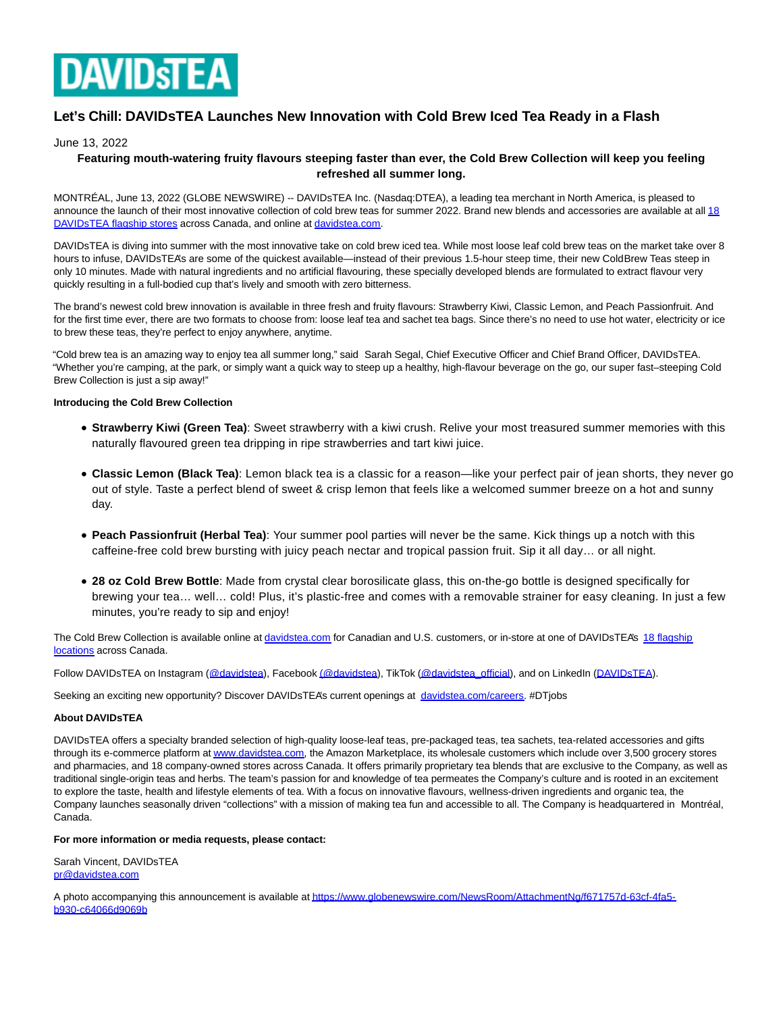

# **Let's Chill: DAVIDsTEA Launches New Innovation with Cold Brew Iced Tea Ready in a Flash**

## June 13, 2022

## **Featuring mouth-watering fruity flavours steeping faster than ever, the Cold Brew Collection will keep you feeling refreshed all summer long.**

MONTRÉAL, June 13, 2022 (GLOBE NEWSWIRE) -- DAVIDsTEA Inc. (Nasdaq:DTEA), a leading tea merchant in North America, is pleased to [announce the launch of their most innovative collection of cold brew teas for summer 2022. Brand new blends and accessories are available at all 18](https://www.globenewswire.com/Tracker?data=xNUqd-5D-TjSMZUOqS1ydj19D8AfLs1yQ98UySyS5iSP06-hPyZFU5pgbNGOz2e_uO4EDXpwgjSneJDW7dvIGgXztagSJRg9uTvP6i-EwBayc-DHRHvItKAIghonoJwjppU_HzWX-YuqIczrds0cSEfVRDIUEUd2SuQYYi78cRWyOwNL9PtCg9xMwNQsJ0CGXb9NVjJWG8hKmcscKmW_9uf7AtOroh-GxAjMVFqz4j4jSC8pae6ZIOQdcdZTaWd39-5IHOMaDD9o5ekJEIrbGzkJfPW3zIWax4dBS8SqREo=) DAVIDsTEA flagship stores across Canada, and online a[t davidstea.com.](https://www.globenewswire.com/Tracker?data=yRbcokolJVBEwhldecYe1ab5WiYAoXqBhO0sGvtR5F1nxVmyb2B0rzOQ8xZfeV9-fkAWc492qSnE2NoeKHbhjYFx5DqPZzAP1h1lz2pKrF08Jbc89wEpeJk_Yo9DjNGujGYzO317epBkMjjlsQBzHarr4VMR52aQzk7-zEJAxwfAFqJsPKCFGlp_Qn-D-aWYwsAoSI9iwXoQ4L3ATT_JKBGtLloy6BsOF0iJA18UWHMQVD9lNGr2uKwYImhEDuO0)

DAVIDsTEA is diving into summer with the most innovative take on cold brew iced tea. While most loose leaf cold brew teas on the market take over 8 hours to infuse, DAVIDsTEA's are some of the quickest available—instead of their previous 1.5-hour steep time, their new ColdBrew Teas steep in only 10 minutes. Made with natural ingredients and no artificial flavouring, these specially developed blends are formulated to extract flavour very quickly resulting in a full-bodied cup that's lively and smooth with zero bitterness.

The brand's newest cold brew innovation is available in three fresh and fruity flavours: Strawberry Kiwi, Classic Lemon, and Peach Passionfruit. And for the first time ever, there are two formats to choose from: loose leaf tea and sachet tea bags. Since there's no need to use hot water, electricity or ice to brew these teas, they're perfect to enjoy anywhere, anytime.

"Cold brew tea is an amazing way to enjoy tea all summer long," said Sarah Segal, Chief Executive Officer and Chief Brand Officer, DAVIDsTEA. "Whether you're camping, at the park, or simply want a quick way to steep up a healthy, high-flavour beverage on the go, our super fast–steeping Cold Brew Collection is just a sip away!"

### **Introducing the Cold Brew Collection**

- **Strawberry Kiwi (Green Tea)**: Sweet strawberry with a kiwi crush. Relive your most treasured summer memories with this naturally flavoured green tea dripping in ripe strawberries and tart kiwi juice.
- **Classic Lemon (Black Tea)**: Lemon black tea is a classic for a reason—like your perfect pair of jean shorts, they never go out of style. Taste a perfect blend of sweet & crisp lemon that feels like a welcomed summer breeze on a hot and sunny day.
- **Peach Passionfruit (Herbal Tea)**: Your summer pool parties will never be the same. Kick things up a notch with this caffeine-free cold brew bursting with juicy peach nectar and tropical passion fruit. Sip it all day… or all night.
- **28 oz Cold Brew Bottle**: Made from crystal clear borosilicate glass, this on-the-go bottle is designed specifically for brewing your tea… well… cold! Plus, it's plastic-free and comes with a removable strainer for easy cleaning. In just a few minutes, you're ready to sip and enjoy!

The Cold Brew Collection is available online at [davidstea.com f](https://www.globenewswire.com/Tracker?data=yRbcokolJVBEwhldecYe1UnrDb3jHaSSRmZQiNe4wUled807hg3PQw6WwxgxWg5OAIB_RJakQBSGYVNOcpKVfNKPb1C07bCHkaid1cB5WP8=)or Canadian and U.S. customers, or in-store at one of DAVIDSTEA's [18 flagship](https://www.globenewswire.com/Tracker?data=jmLqw4bJK1_wLksI_0B5C3d2zMGztl1-_BzTOcNkuTtlikBtpPISq-9jiBEeosl7hvjAmWkjAQIBmFbUwgBPFSqr9knnv6QOFIIPMnnwafo=) locations across Canada.

Follow DAVIDsTEA on Instagram [\(@davidstea\),](https://www.globenewswire.com/Tracker?data=hZZcoKttce77PZEh63BEwNav4fiJ26ZCXARWvv1pjlUrEBfJdvM_NM4AUP1uHDD3AX0iQpMyHLuuWExHkNd7ET5raqYuTU60UJAK9ZBfxr4=) Faceboo[k \(@davidstea\),](https://www.globenewswire.com/Tracker?data=tT_IR7Es8gFDJec5Eb4XSdf64AzJa6oVAGvQ-q1b83ElSrCLVAoFZ40Se_wzF3srpGii8dVDRx4zsKMbGAGUQgV1JggRkh6ifCEPzk7q1HE=) TikTok [\(@davidstea\\_official\),](https://www.globenewswire.com/Tracker?data=hZZcoKttce77PZEh63BEwHTGKqvSAyqiiBQqZUMY-VJLuiNup855_GyJmpn4vcD1ufam5rt_knWvUX1tMCdgdoh_rOIm6XVm8Gyl7awdbT8kWoZf9iUCPGBqctjaFxL1) and on LinkedIn [\(DAVIDsTEA\).](https://www.globenewswire.com/Tracker?data=AtNzcIpvULkc_oN1SkbV8iV7DG_C96-l03UDQJbU3O8ca7-zuuuEm4WFF817qdJGAvnLI074ogOkaRdE1ukU13Z5DUXzOn7TmFxbbPgopUw=)

Seeking an exciting new opportunity? Discover DAVIDsTEA's current openings at [davidstea.com/careers.](https://www.globenewswire.com/Tracker?data=yRbcokolJVBEwhldecYe1UoZCG5N0diqY1vTBbY31OzIUqbuK0ZwBkEUqQIYPZQ0TkrAB2pcdXA7O7lIDJvhyKrKc1eN99SDb5BUUTVVZRU=) #DTjobs

### **About DAVIDsTEA**

DAVIDsTEA offers a specialty branded selection of high-quality loose-leaf teas, pre-packaged teas, tea sachets, tea-related accessories and gifts through its e-commerce platform a[t www.davidstea.com,](http://www.davidstea.com/) the Amazon Marketplace, its wholesale customers which include over 3,500 grocery stores and pharmacies, and 18 company-owned stores across Canada. It offers primarily proprietary tea blends that are exclusive to the Company, as well as traditional single-origin teas and herbs. The team's passion for and knowledge of tea permeates the Company's culture and is rooted in an excitement to explore the taste, health and lifestyle elements of tea. With a focus on innovative flavours, wellness-driven ingredients and organic tea, the Company launches seasonally driven "collections" with a mission of making tea fun and accessible to all. The Company is headquartered in Montréal, Canada.

#### **For more information or media requests, please contact:**

Sarah Vincent, DAVIDsTEA [pr@davidstea.com](https://www.globenewswire.com/Tracker?data=mxEaDTCIP0yTqaC-MpatICBUKpdKS_5nE_Vfg8v44eWc7GMTT-ssOM-rO1TtIOyJPPYq_PvCItNpkArHzeKu1g==)

A photo accompanying this announcement is available a[t https://www.globenewswire.com/NewsRoom/AttachmentNg/f671757d-63cf-4fa5](https://www.globenewswire.com/Tracker?data=Bs1h47x7WIBG_odbzSL-FCAbT7k4hWyMfxKT8h4Xw1o_tsxBuO6YWg0QneWUkjK5MBvLZT9rq_Bfrp7Caz6nxH53wPq-xh1CSkw7oSe8ob-OQribGI0kLGtV-iJqwcmVtG0ebecU9pLvJYlovniayUI5cse2AcHLQxHU_gIDt32Cp4QW6IZWfnhqDriri87-7T_OPogpce2f3PGZ6Aljlu7KRQki_DQGyZGDa5dTMY9THD1ln9kJHN0NEaV5XEgLEkJjRoxvd3-U4pqejpSs1w==) b930-c64066d9069b